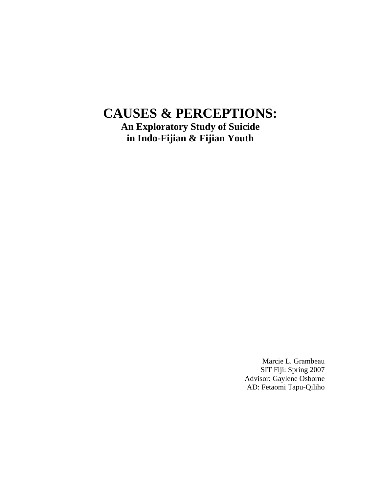# **CAUSES & PERCEPTIONS:**

**An Exploratory Study of Suicide in Indo-Fijian & Fijian Youth** 

> Marcie L. Grambeau SIT Fiji: Spring 2007 Advisor: Gaylene Osborne AD: Fetaomi Tapu-Qiliho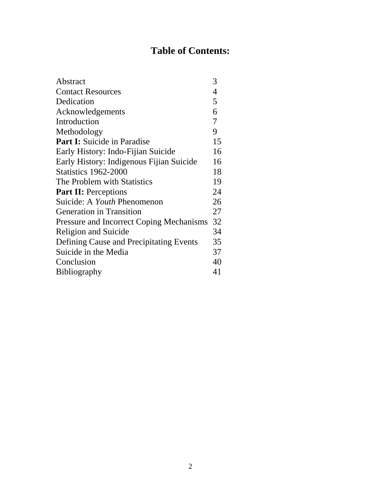# **Table of Contents:**

| Abstract                                        | 3  |
|-------------------------------------------------|----|
| <b>Contact Resources</b>                        | 4  |
| Dedication                                      | 5  |
| Acknowledgements                                | 6  |
| Introduction                                    | 7  |
| Methodology                                     | 9  |
| <b>Part I:</b> Suicide in Paradise              | 15 |
| Early History: Indo-Fijian Suicide              | 16 |
| Early History: Indigenous Fijian Suicide        | 16 |
| <b>Statistics 1962-2000</b>                     | 18 |
| The Problem with Statistics                     | 19 |
| <b>Part II:</b> Perceptions                     | 24 |
| Suicide: A Youth Phenomenon                     | 26 |
| <b>Generation in Transition</b>                 | 27 |
| <b>Pressure and Incorrect Coping Mechanisms</b> | 32 |
| <b>Religion and Suicide</b>                     | 34 |
| Defining Cause and Precipitating Events         | 35 |
| Suicide in the Media                            | 37 |
| Conclusion                                      | 40 |
| <b>Bibliography</b>                             | 41 |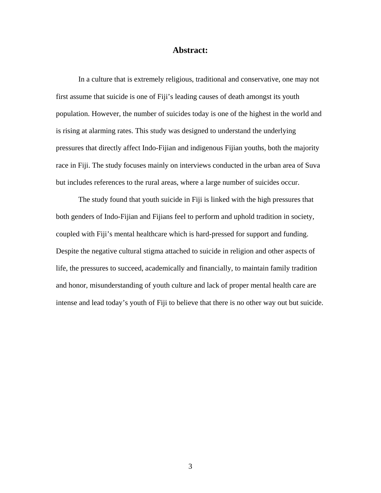### **Abstract:**

 In a culture that is extremely religious, traditional and conservative, one may not first assume that suicide is one of Fiji's leading causes of death amongst its youth population. However, the number of suicides today is one of the highest in the world and is rising at alarming rates. This study was designed to understand the underlying pressures that directly affect Indo-Fijian and indigenous Fijian youths, both the majority race in Fiji. The study focuses mainly on interviews conducted in the urban area of Suva but includes references to the rural areas, where a large number of suicides occur.

 The study found that youth suicide in Fiji is linked with the high pressures that both genders of Indo-Fijian and Fijians feel to perform and uphold tradition in society, coupled with Fiji's mental healthcare which is hard-pressed for support and funding. Despite the negative cultural stigma attached to suicide in religion and other aspects of life, the pressures to succeed, academically and financially, to maintain family tradition and honor, misunderstanding of youth culture and lack of proper mental health care are intense and lead today's youth of Fiji to believe that there is no other way out but suicide.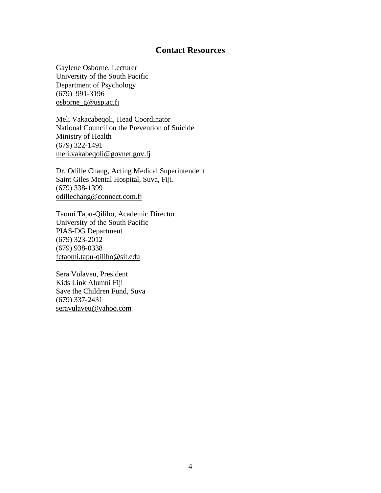# **Contact Resources**

Gaylene Osborne, Lecturer University of the South Pacific Department of Psychology (679) 991-3196 osborne\_g@usp.ac.fj

Meli Vakacabeqoli, Head Coordinator National Council on the Prevention of Suicide Ministry of Health (679) 322-1491 meli.vakabeqoli@govnet.gov.fj

Dr. Odille Chang, Acting Medical Superintendent Saint Giles Mental Hospital, Suva, Fiji. (679) 338-1399 odillechang@connect.com.fj

Taomi Tapu-Qiliho, Academic Director University of the South Pacific PIAS-DG Department (679) 323-2012 (679) 938-0338 fetaomi.tapu-qiliho@sit.edu

Sera Vulaveu, President Kids Link Alumni Fiji Save the Children Fund, Suva (679) 337-2431 [seravulaveu@yahoo.com](mailto:seravulaveu@yahoo.com)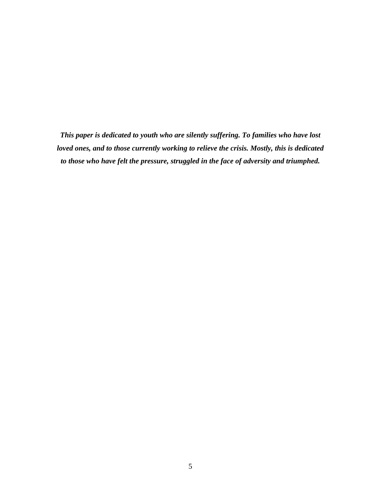*This paper is dedicated to youth who are silently suffering. To families who have lost loved ones, and to those currently working to relieve the crisis. Mostly, this is dedicated to those who have felt the pressure, struggled in the face of adversity and triumphed.*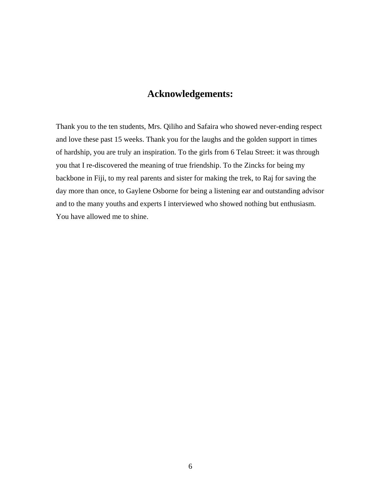# **Acknowledgements:**

Thank you to the ten students, Mrs. Qiliho and Safaira who showed never-ending respect and love these past 15 weeks. Thank you for the laughs and the golden support in times of hardship, you are truly an inspiration. To the girls from 6 Telau Street: it was through you that I re-discovered the meaning of true friendship. To the Zincks for being my backbone in Fiji, to my real parents and sister for making the trek, to Raj for saving the day more than once, to Gaylene Osborne for being a listening ear and outstanding advisor and to the many youths and experts I interviewed who showed nothing but enthusiasm. You have allowed me to shine.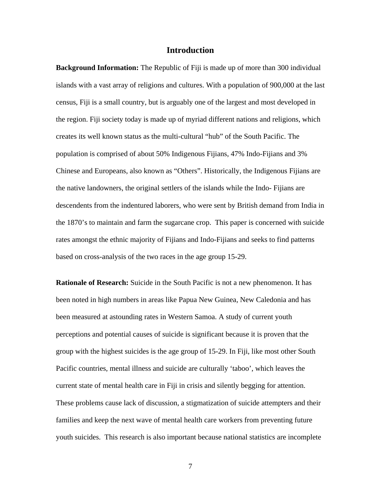#### **Introduction**

**Background Information:** The Republic of Fiji is made up of more than 300 individual islands with a vast array of religions and cultures. With a population of 900,000 at the last census, Fiji is a small country, but is arguably one of the largest and most developed in the region. Fiji society today is made up of myriad different nations and religions, which creates its well known status as the multi-cultural "hub" of the South Pacific. The population is comprised of about 50% Indigenous Fijians, 47% Indo-Fijians and 3% Chinese and Europeans, also known as "Others". Historically, the Indigenous Fijians are the native landowners, the original settlers of the islands while the Indo- Fijians are descendents from the indentured laborers, who were sent by British demand from India in the 1870's to maintain and farm the sugarcane crop. This paper is concerned with suicide rates amongst the ethnic majority of Fijians and Indo-Fijians and seeks to find patterns based on cross-analysis of the two races in the age group 15-29.

**Rationale of Research:** Suicide in the South Pacific is not a new phenomenon. It has been noted in high numbers in areas like Papua New Guinea, New Caledonia and has been measured at astounding rates in Western Samoa. A study of current youth perceptions and potential causes of suicide is significant because it is proven that the group with the highest suicides is the age group of 15-29. In Fiji, like most other South Pacific countries, mental illness and suicide are culturally 'taboo', which leaves the current state of mental health care in Fiji in crisis and silently begging for attention. These problems cause lack of discussion, a stigmatization of suicide attempters and their families and keep the next wave of mental health care workers from preventing future youth suicides. This research is also important because national statistics are incomplete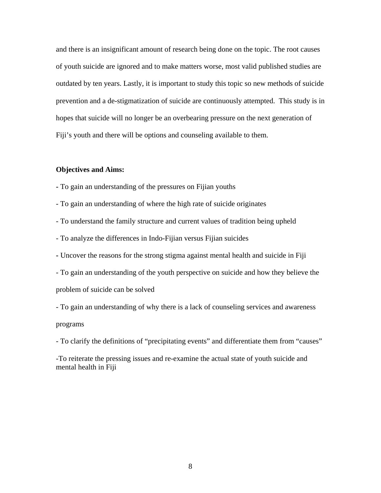and there is an insignificant amount of research being done on the topic. The root causes of youth suicide are ignored and to make matters worse, most valid published studies are outdated by ten years. Lastly, it is important to study this topic so new methods of suicide prevention and a de-stigmatization of suicide are continuously attempted. This study is in hopes that suicide will no longer be an overbearing pressure on the next generation of Fiji's youth and there will be options and counseling available to them.

#### **Objectives and Aims:**

**-** To gain an understanding of the pressures on Fijian youths

- To gain an understanding of where the high rate of suicide originates

- To understand the family structure and current values of tradition being upheld

- To analyze the differences in Indo-Fijian versus Fijian suicides

- Uncover the reasons for the strong stigma against mental health and suicide in Fiji
- To gain an understanding of the youth perspective on suicide and how they believe the

problem of suicide can be solved

- To gain an understanding of why there is a lack of counseling services and awareness programs

- To clarify the definitions of "precipitating events" and differentiate them from "causes"

-To reiterate the pressing issues and re-examine the actual state of youth suicide and mental health in Fiji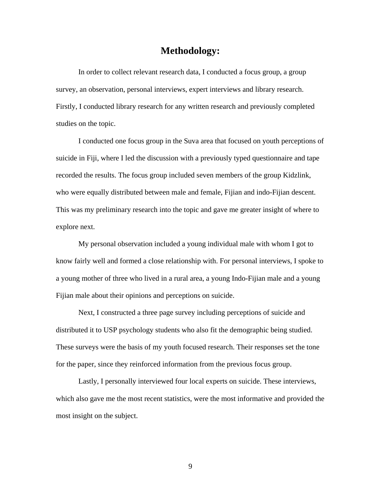# **Methodology:**

 In order to collect relevant research data, I conducted a focus group, a group survey, an observation, personal interviews, expert interviews and library research. Firstly, I conducted library research for any written research and previously completed studies on the topic.

 I conducted one focus group in the Suva area that focused on youth perceptions of suicide in Fiji, where I led the discussion with a previously typed questionnaire and tape recorded the results. The focus group included seven members of the group Kidzlink, who were equally distributed between male and female, Fijian and indo-Fijian descent. This was my preliminary research into the topic and gave me greater insight of where to explore next.

 My personal observation included a young individual male with whom I got to know fairly well and formed a close relationship with. For personal interviews, I spoke to a young mother of three who lived in a rural area, a young Indo-Fijian male and a young Fijian male about their opinions and perceptions on suicide.

 Next, I constructed a three page survey including perceptions of suicide and distributed it to USP psychology students who also fit the demographic being studied. These surveys were the basis of my youth focused research. Their responses set the tone for the paper, since they reinforced information from the previous focus group.

 Lastly, I personally interviewed four local experts on suicide. These interviews, which also gave me the most recent statistics, were the most informative and provided the most insight on the subject.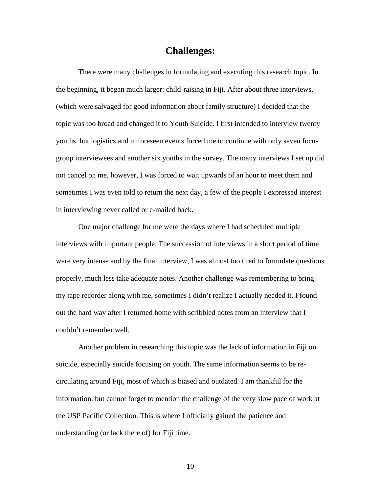# **Challenges:**

 There were many challenges in formulating and executing this research topic. In the beginning, it began much larger: child-raising in Fiji. After about three interviews, (which were salvaged for good information about family structure) I decided that the topic was too broad and changed it to Youth Suicide. I first intended to interview twenty youths, but logistics and unforeseen events forced me to continue with only seven focus group interviewees and another six youths in the survey. The many interviews I set up did not cancel on me, however, I was forced to wait upwards of an hour to meet them and sometimes I was even told to return the next day, a few of the people I expressed interest in interviewing never called or e-mailed back.

 One major challenge for me were the days where I had scheduled multiple interviews with important people. The succession of interviews in a short period of time were very intense and by the final interview, I was almost too tired to formulate questions properly, much less take adequate notes. Another challenge was remembering to bring my tape recorder along with me, sometimes I didn't realize I actually needed it. I found out the hard way after I returned home with scribbled notes from an interview that I couldn't remember well.

Another problem in researching this topic was the lack of information in Fiji on suicide, especially suicide focusing on youth. The same information seems to be recirculating around Fiji, most of which is biased and outdated. I am thankful for the information, but cannot forget to mention the challenge of the very slow pace of work at the USP Pacific Collection. This is where I officially gained the patience and understanding (or lack there of) for Fiji time.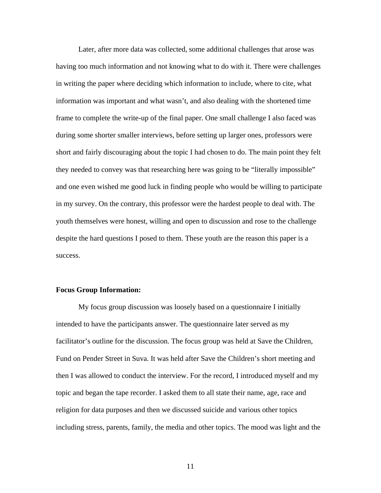Later, after more data was collected, some additional challenges that arose was having too much information and not knowing what to do with it. There were challenges in writing the paper where deciding which information to include, where to cite, what information was important and what wasn't, and also dealing with the shortened time frame to complete the write-up of the final paper. One small challenge I also faced was during some shorter smaller interviews, before setting up larger ones, professors were short and fairly discouraging about the topic I had chosen to do. The main point they felt they needed to convey was that researching here was going to be "literally impossible" and one even wished me good luck in finding people who would be willing to participate in my survey. On the contrary, this professor were the hardest people to deal with. The youth themselves were honest, willing and open to discussion and rose to the challenge despite the hard questions I posed to them. These youth are the reason this paper is a success.

#### **Focus Group Information:**

 My focus group discussion was loosely based on a questionnaire I initially intended to have the participants answer. The questionnaire later served as my facilitator's outline for the discussion. The focus group was held at Save the Children, Fund on Pender Street in Suva. It was held after Save the Children's short meeting and then I was allowed to conduct the interview. For the record, I introduced myself and my topic and began the tape recorder. I asked them to all state their name, age, race and religion for data purposes and then we discussed suicide and various other topics including stress, parents, family, the media and other topics. The mood was light and the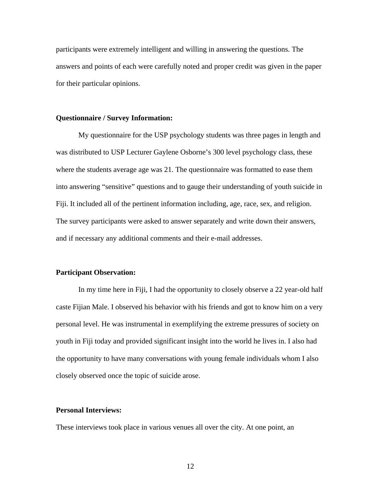participants were extremely intelligent and willing in answering the questions. The answers and points of each were carefully noted and proper credit was given in the paper for their particular opinions.

#### **Questionnaire / Survey Information:**

 My questionnaire for the USP psychology students was three pages in length and was distributed to USP Lecturer Gaylene Osborne's 300 level psychology class, these where the students average age was 21. The questionnaire was formatted to ease them into answering "sensitive" questions and to gauge their understanding of youth suicide in Fiji. It included all of the pertinent information including, age, race, sex, and religion. The survey participants were asked to answer separately and write down their answers, and if necessary any additional comments and their e-mail addresses.

#### **Participant Observation:**

 In my time here in Fiji, I had the opportunity to closely observe a 22 year-old half caste Fijian Male. I observed his behavior with his friends and got to know him on a very personal level. He was instrumental in exemplifying the extreme pressures of society on youth in Fiji today and provided significant insight into the world he lives in. I also had the opportunity to have many conversations with young female individuals whom I also closely observed once the topic of suicide arose.

### **Personal Interviews:**

These interviews took place in various venues all over the city. At one point, an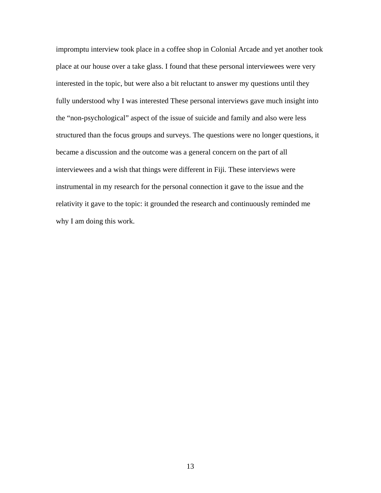impromptu interview took place in a coffee shop in Colonial Arcade and yet another took place at our house over a take glass. I found that these personal interviewees were very interested in the topic, but were also a bit reluctant to answer my questions until they fully understood why I was interested These personal interviews gave much insight into the "non-psychological" aspect of the issue of suicide and family and also were less structured than the focus groups and surveys. The questions were no longer questions, it became a discussion and the outcome was a general concern on the part of all interviewees and a wish that things were different in Fiji. These interviews were instrumental in my research for the personal connection it gave to the issue and the relativity it gave to the topic: it grounded the research and continuously reminded me why I am doing this work.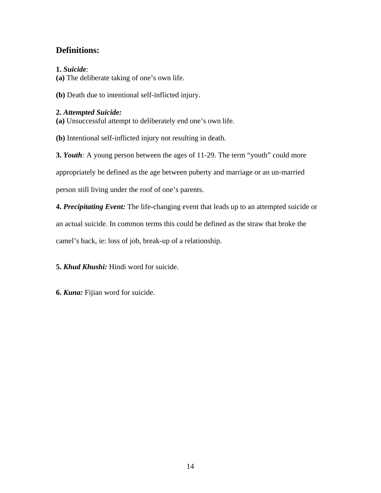# **Definitions:**

# **1.** *Suicide:*

**(a)** The deliberate taking of one's own life.

**(b)** Death due to intentional self-inflicted injury.

# **2.** *Attempted Suicide:*

**(a)** Unsuccessful attempt to deliberately end one's own life.

**(b)** Intentional self-inflicted injury not resulting in death.

**3.** *Youth:* A young person between the ages of 11-29. The term "youth" could more appropriately be defined as the age between puberty and marriage or an un-married

person still living under the roof of one's parents.

**4.** *Precipitating Event:* The life-changing event that leads up to an attempted suicide or an actual suicide. In common terms this could be defined as the straw that broke the camel's back, ie: loss of job, break-up of a relationship.

**5.** *Khud Khushi:* Hindi word for suicide.

**6.** *Kuna:* Fijian word for suicide.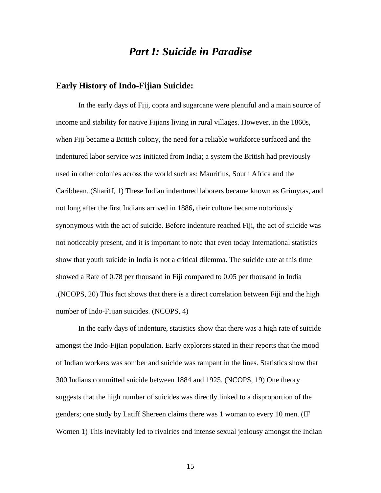# *Part I: Suicide in Paradise*

### **Early History of Indo-Fijian Suicide:**

In the early days of Fiji, copra and sugarcane were plentiful and a main source of income and stability for native Fijians living in rural villages. However, in the 1860s, when Fiji became a British colony, the need for a reliable workforce surfaced and the indentured labor service was initiated from India; a system the British had previously used in other colonies across the world such as: Mauritius, South Africa and the Caribbean. (Shariff, 1) These Indian indentured laborers became known as Grimytas, and not long after the first Indians arrived in 1886**,** their culture became notoriously synonymous with the act of suicide. Before indenture reached Fiji, the act of suicide was not noticeably present, and it is important to note that even today International statistics show that youth suicide in India is not a critical dilemma. The suicide rate at this time showed a Rate of 0.78 per thousand in Fiji compared to 0.05 per thousand in India .(NCOPS, 20) This fact shows that there is a direct correlation between Fiji and the high number of Indo-Fijian suicides. (NCOPS, 4)

 In the early days of indenture, statistics show that there was a high rate of suicide amongst the Indo-Fijian population. Early explorers stated in their reports that the mood of Indian workers was somber and suicide was rampant in the lines. Statistics show that 300 Indians committed suicide between 1884 and 1925. (NCOPS, 19) One theory suggests that the high number of suicides was directly linked to a disproportion of the genders; one study by Latiff Shereen claims there was 1 woman to every 10 men. (IF Women 1) This inevitably led to rivalries and intense sexual jealousy amongst the Indian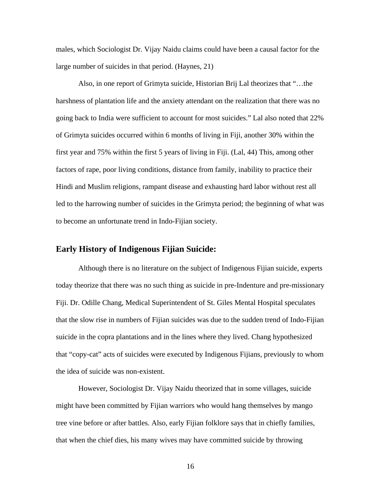males, which Sociologist Dr. Vijay Naidu claims could have been a causal factor for the large number of suicides in that period. (Haynes, 21)

 Also, in one report of Grimyta suicide, Historian Brij Lal theorizes that "…the harshness of plantation life and the anxiety attendant on the realization that there was no going back to India were sufficient to account for most suicides." Lal also noted that 22% of Grimyta suicides occurred within 6 months of living in Fiji, another 30% within the first year and 75% within the first 5 years of living in Fiji. (Lal, 44) This, among other factors of rape, poor living conditions, distance from family, inability to practice their Hindi and Muslim religions, rampant disease and exhausting hard labor without rest all led to the harrowing number of suicides in the Grimyta period; the beginning of what was to become an unfortunate trend in Indo-Fijian society.

### **Early History of Indigenous Fijian Suicide:**

 Although there is no literature on the subject of Indigenous Fijian suicide, experts today theorize that there was no such thing as suicide in pre-Indenture and pre-missionary Fiji. Dr. Odille Chang, Medical Superintendent of St. Giles Mental Hospital speculates that the slow rise in numbers of Fijian suicides was due to the sudden trend of Indo-Fijian suicide in the copra plantations and in the lines where they lived. Chang hypothesized that "copy-cat" acts of suicides were executed by Indigenous Fijians, previously to whom the idea of suicide was non-existent.

 However, Sociologist Dr. Vijay Naidu theorized that in some villages, suicide might have been committed by Fijian warriors who would hang themselves by mango tree vine before or after battles. Also, early Fijian folklore says that in chiefly families, that when the chief dies, his many wives may have committed suicide by throwing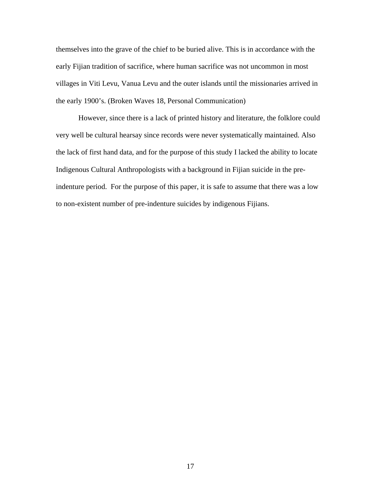themselves into the grave of the chief to be buried alive. This is in accordance with the early Fijian tradition of sacrifice, where human sacrifice was not uncommon in most villages in Viti Levu, Vanua Levu and the outer islands until the missionaries arrived in the early 1900's. (Broken Waves 18, Personal Communication)

 However, since there is a lack of printed history and literature, the folklore could very well be cultural hearsay since records were never systematically maintained. Also the lack of first hand data, and for the purpose of this study I lacked the ability to locate Indigenous Cultural Anthropologists with a background in Fijian suicide in the preindenture period. For the purpose of this paper, it is safe to assume that there was a low to non-existent number of pre-indenture suicides by indigenous Fijians.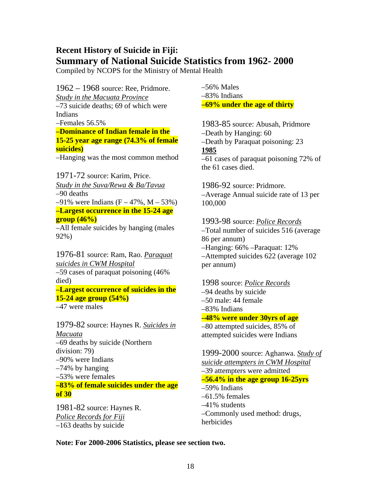# **Recent History of Suicide in Fiji: Summary of National Suicide Statistics from 1962- 2000**

Compiled by NCOPS for the Ministry of Mental Health

1962 – 1968 source: Ree, Pridmore. *Study in the Macuata Province* –73 suicide deaths; 69 of which were Indians –Females 56.5% **–Dominance of Indian female in the 15-25 year age range (74.3% of female suicides)**  –Hanging was the most common method

1971-72 source: Karim, Price. *Study in the Suva/Rewa & Ba/Tavua* –90 deaths  $-91\%$  were Indians (F – 47%, M – 53%) **–Largest occurrence in the 15-24 age group (46%)**  –All female suicides by hanging (males

92%)

1976-81 source: Ram, Rao. *Paraquat suicides in CWM Hospital* –59 cases of paraquat poisoning (46% died) **–Largest occurrence of suicides in the 15-24 age group (54%)**  –47 were males

1979-82 source: Haynes R. *Suicides in Macuata* –69 deaths by suicide (Northern division: 79) –90% were Indians –74% by hanging –53% were females **–83% of female suicides under the age of 30** 

1981-82 source: Haynes R. *Police Records for Fiji* –163 deaths by suicide

–56% Males –83% Indians **–69% under the age of thirty** 

1983-85 source: Abusah, Pridmore –Death by Hanging: 60 –Death by Paraquat poisoning: 23 **1985** –61 cases of paraquat poisoning 72% of the 61 cases died.

1986-92 source: Pridmore. –Average Annual suicide rate of 13 per 100,000

1993-98 source: *Police Records* –Total number of suicides 516 (average 86 per annum) –Hanging: 66% –Paraquat: 12% –Attempted suicides 622 (average 102 per annum)

# 1998 source: *Police Records* –94 deaths by suicide –50 male: 44 female –83% Indians **–48% were under 30yrs of age**  –80 attempted suicides, 85% of

attempted suicides were Indians

1999-2000 source: Aghanwa. *Study of suicide attempters in CWM Hospital* –39 attempters were admitted **–56.4% in the age group 16-25yrs**  –59% Indians –61.5% females –41% students –Commonly used method: drugs, herbicides

**Note: For 2000-2006 Statistics, please see section two.**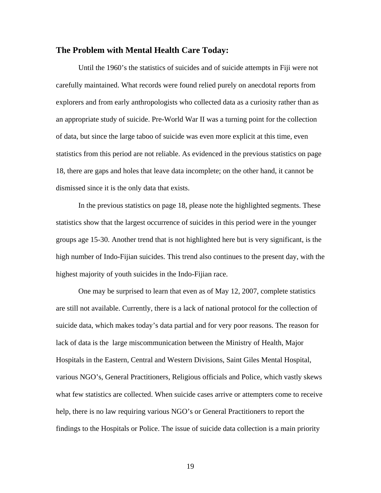### **The Problem with Mental Health Care Today:**

 Until the 1960's the statistics of suicides and of suicide attempts in Fiji were not carefully maintained. What records were found relied purely on anecdotal reports from explorers and from early anthropologists who collected data as a curiosity rather than as an appropriate study of suicide. Pre-World War II was a turning point for the collection of data, but since the large taboo of suicide was even more explicit at this time, even statistics from this period are not reliable. As evidenced in the previous statistics on page 18, there are gaps and holes that leave data incomplete; on the other hand, it cannot be dismissed since it is the only data that exists.

 In the previous statistics on page 18, please note the highlighted segments. These statistics show that the largest occurrence of suicides in this period were in the younger groups age 15-30. Another trend that is not highlighted here but is very significant, is the high number of Indo-Fijian suicides. This trend also continues to the present day, with the highest majority of youth suicides in the Indo-Fijian race.

 One may be surprised to learn that even as of May 12, 2007, complete statistics are still not available. Currently, there is a lack of national protocol for the collection of suicide data, which makes today's data partial and for very poor reasons. The reason for lack of data is the large miscommunication between the Ministry of Health, Major Hospitals in the Eastern, Central and Western Divisions, Saint Giles Mental Hospital, various NGO's, General Practitioners, Religious officials and Police, which vastly skews what few statistics are collected. When suicide cases arrive or attempters come to receive help, there is no law requiring various NGO's or General Practitioners to report the findings to the Hospitals or Police. The issue of suicide data collection is a main priority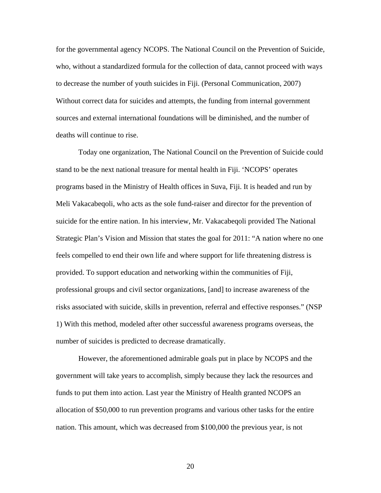for the governmental agency NCOPS. The National Council on the Prevention of Suicide, who, without a standardized formula for the collection of data, cannot proceed with ways to decrease the number of youth suicides in Fiji. (Personal Communication, 2007) Without correct data for suicides and attempts, the funding from internal government sources and external international foundations will be diminished, and the number of deaths will continue to rise.

 Today one organization, The National Council on the Prevention of Suicide could stand to be the next national treasure for mental health in Fiji. 'NCOPS' operates programs based in the Ministry of Health offices in Suva, Fiji. It is headed and run by Meli Vakacabeqoli, who acts as the sole fund-raiser and director for the prevention of suicide for the entire nation. In his interview, Mr. Vakacabeqoli provided The National Strategic Plan's Vision and Mission that states the goal for 2011: "A nation where no one feels compelled to end their own life and where support for life threatening distress is provided. To support education and networking within the communities of Fiji, professional groups and civil sector organizations, [and] to increase awareness of the risks associated with suicide, skills in prevention, referral and effective responses." (NSP 1) With this method, modeled after other successful awareness programs overseas, the number of suicides is predicted to decrease dramatically.

 However, the aforementioned admirable goals put in place by NCOPS and the government will take years to accomplish, simply because they lack the resources and funds to put them into action. Last year the Ministry of Health granted NCOPS an allocation of \$50,000 to run prevention programs and various other tasks for the entire nation. This amount, which was decreased from \$100,000 the previous year, is not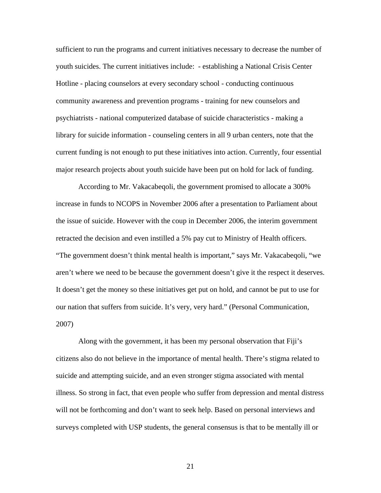sufficient to run the programs and current initiatives necessary to decrease the number of youth suicides. The current initiatives include: - establishing a National Crisis Center Hotline - placing counselors at every secondary school - conducting continuous community awareness and prevention programs - training for new counselors and psychiatrists - national computerized database of suicide characteristics - making a library for suicide information - counseling centers in all 9 urban centers, note that the current funding is not enough to put these initiatives into action. Currently, four essential major research projects about youth suicide have been put on hold for lack of funding.

 According to Mr. Vakacabeqoli, the government promised to allocate a 300% increase in funds to NCOPS in November 2006 after a presentation to Parliament about the issue of suicide. However with the coup in December 2006, the interim government retracted the decision and even instilled a 5% pay cut to Ministry of Health officers. "The government doesn't think mental health is important," says Mr. Vakacabeqoli, "we aren't where we need to be because the government doesn't give it the respect it deserves. It doesn't get the money so these initiatives get put on hold, and cannot be put to use for our nation that suffers from suicide. It's very, very hard." (Personal Communication, 2007)

 Along with the government, it has been my personal observation that Fiji's citizens also do not believe in the importance of mental health. There's stigma related to suicide and attempting suicide, and an even stronger stigma associated with mental illness. So strong in fact, that even people who suffer from depression and mental distress will not be forthcoming and don't want to seek help. Based on personal interviews and surveys completed with USP students, the general consensus is that to be mentally ill or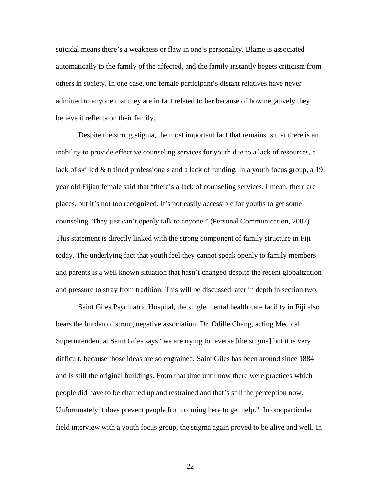suicidal means there's a weakness or flaw in one's personality. Blame is associated automatically to the family of the affected, and the family instantly begets criticism from others in society. In one case, one female participant's distant relatives have never admitted to anyone that they are in fact related to her because of how negatively they believe it reflects on their family.

Despite the strong stigma, the most important fact that remains is that there is an inability to provide effective counseling services for youth due to a lack of resources, a lack of skilled & trained professionals and a lack of funding. In a youth focus group, a 19 year old Fijian female said that "there's a lack of counseling services. I mean, there are places, but it's not too recognized. It's not easily accessible for youths to get some counseling. They just can't openly talk to anyone." (Personal Communication, 2007) This statement is directly linked with the strong component of family structure in Fiji today. The underlying fact that youth feel they cannot speak openly to family members and parents is a well known situation that hasn't changed despite the recent globalization and pressure to stray from tradition. This will be discussed later in depth in section two.

 Saint Giles Psychiatric Hospital, the single mental health care facility in Fiji also bears the burden of strong negative association. Dr. Odille Chang, acting Medical Superintendent at Saint Giles says "we are trying to reverse [the stigma] but it is very difficult, because those ideas are so engrained. Saint Giles has been around since 1884 and is still the original buildings. From that time until now there were practices which people did have to be chained up and restrained and that's still the perception now. Unfortunately it does prevent people from coming here to get help." In one particular field interview with a youth focus group, the stigma again proved to be alive and well. In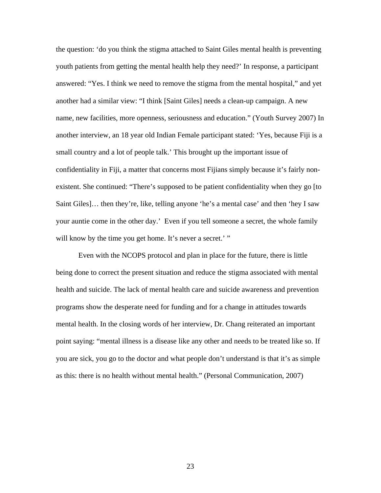the question: 'do you think the stigma attached to Saint Giles mental health is preventing youth patients from getting the mental health help they need?' In response, a participant answered: "Yes. I think we need to remove the stigma from the mental hospital," and yet another had a similar view: "I think [Saint Giles] needs a clean-up campaign. A new name, new facilities, more openness, seriousness and education." (Youth Survey 2007) In another interview, an 18 year old Indian Female participant stated: 'Yes, because Fiji is a small country and a lot of people talk.' This brought up the important issue of confidentiality in Fiji, a matter that concerns most Fijians simply because it's fairly nonexistent. She continued: "There's supposed to be patient confidentiality when they go [to Saint Giles]… then they're, like, telling anyone 'he's a mental case' and then 'hey I saw your auntie come in the other day.' Even if you tell someone a secret, the whole family will know by the time you get home. It's never a secret.' "

 Even with the NCOPS protocol and plan in place for the future, there is little being done to correct the present situation and reduce the stigma associated with mental health and suicide. The lack of mental health care and suicide awareness and prevention programs show the desperate need for funding and for a change in attitudes towards mental health. In the closing words of her interview, Dr. Chang reiterated an important point saying: "mental illness is a disease like any other and needs to be treated like so. If you are sick, you go to the doctor and what people don't understand is that it's as simple as this: there is no health without mental health." (Personal Communication, 2007)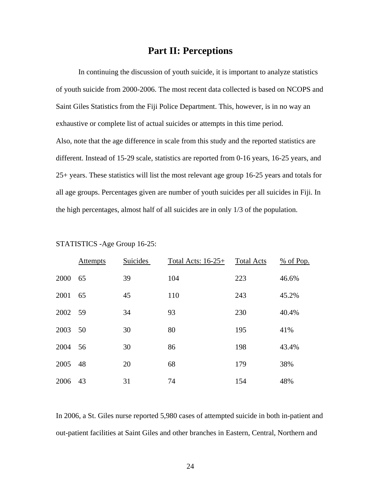# **Part II: Perceptions**

 In continuing the discussion of youth suicide, it is important to analyze statistics of youth suicide from 2000-2006. The most recent data collected is based on NCOPS and Saint Giles Statistics from the Fiji Police Department. This, however, is in no way an exhaustive or complete list of actual suicides or attempts in this time period. Also, note that the age difference in scale from this study and the reported statistics are different. Instead of 15-29 scale, statistics are reported from 0-16 years, 16-25 years, and 25+ years. These statistics will list the most relevant age group 16-25 years and totals for all age groups. Percentages given are number of youth suicides per all suicides in Fiji. In the high percentages, almost half of all suicides are in only 1/3 of the population.

|         | <b>Attempts</b> | <b>Suicides</b> | Total Acts: $16-25+$ | <b>Total Acts</b> | $%$ of Pop. |
|---------|-----------------|-----------------|----------------------|-------------------|-------------|
| 2000    | 65              | 39              | 104                  | 223               | 46.6%       |
| 2001    | 65              | 45              | 110                  | 243               | 45.2%       |
| 2002 59 |                 | 34              | 93                   | 230               | 40.4%       |
| 2003 50 |                 | 30              | 80                   | 195               | 41%         |
| 2004    | 56              | 30              | 86                   | 198               | 43.4%       |
| 2005    | 48              | 20              | 68                   | 179               | 38%         |
| 2006    | 43              | 31              | 74                   | 154               | 48%         |

STATISTICS -Age Group 16-25:

In 2006, a St. Giles nurse reported 5,980 cases of attempted suicide in both in-patient and out-patient facilities at Saint Giles and other branches in Eastern, Central, Northern and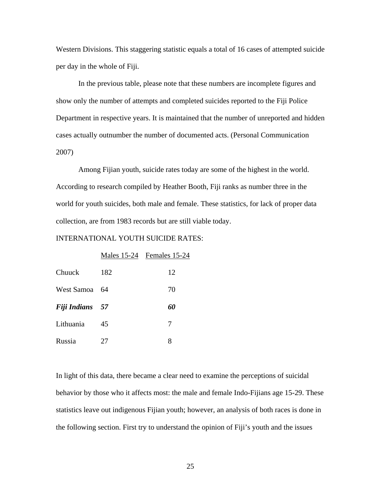Western Divisions. This staggering statistic equals a total of 16 cases of attempted suicide per day in the whole of Fiji.

In the previous table, please note that these numbers are incomplete figures and show only the number of attempts and completed suicides reported to the Fiji Police Department in respective years. It is maintained that the number of unreported and hidden cases actually outnumber the number of documented acts. (Personal Communication 2007)

 Among Fijian youth, suicide rates today are some of the highest in the world. According to research compiled by Heather Booth, Fiji ranks as number three in the world for youth suicides, both male and female. These statistics, for lack of proper data collection, are from 1983 records but are still viable today.

#### INTERNATIONAL YOUTH SUICIDE RATES:

|              |      | Males 15-24 Females 15-24 |
|--------------|------|---------------------------|
| Chuuck       | 182  | 12                        |
| West Samoa   | - 64 | 70                        |
| Fiji Indians | 57   | 60                        |
| Lithuania    | 45   | 7                         |
| Russia       | 27   | 8                         |

In light of this data, there became a clear need to examine the perceptions of suicidal behavior by those who it affects most: the male and female Indo-Fijians age 15-29. These statistics leave out indigenous Fijian youth; however, an analysis of both races is done in the following section. First try to understand the opinion of Fiji's youth and the issues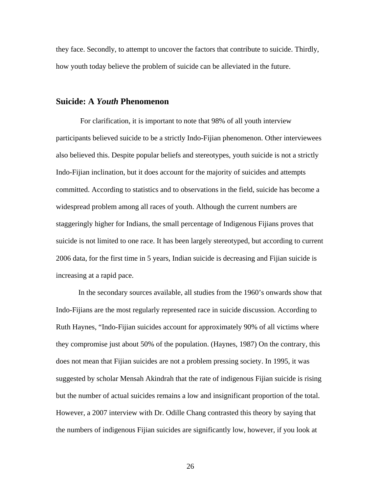they face. Secondly, to attempt to uncover the factors that contribute to suicide. Thirdly, how youth today believe the problem of suicide can be alleviated in the future.

### **Suicide: A** *Youth* **Phenomenon**

 For clarification, it is important to note that 98% of all youth interview participants believed suicide to be a strictly Indo-Fijian phenomenon. Other interviewees also believed this. Despite popular beliefs and stereotypes, youth suicide is not a strictly Indo-Fijian inclination, but it does account for the majority of suicides and attempts committed. According to statistics and to observations in the field, suicide has become a widespread problem among all races of youth. Although the current numbers are staggeringly higher for Indians, the small percentage of Indigenous Fijians proves that suicide is not limited to one race. It has been largely stereotyped, but according to current 2006 data, for the first time in 5 years, Indian suicide is decreasing and Fijian suicide is increasing at a rapid pace.

 In the secondary sources available, all studies from the 1960's onwards show that Indo-Fijians are the most regularly represented race in suicide discussion. According to Ruth Haynes, "Indo-Fijian suicides account for approximately 90% of all victims where they compromise just about 50% of the population. (Haynes, 1987) On the contrary, this does not mean that Fijian suicides are not a problem pressing society. In 1995, it was suggested by scholar Mensah Akindrah that the rate of indigenous Fijian suicide is rising but the number of actual suicides remains a low and insignificant proportion of the total. However, a 2007 interview with Dr. Odille Chang contrasted this theory by saying that the numbers of indigenous Fijian suicides are significantly low, however, if you look at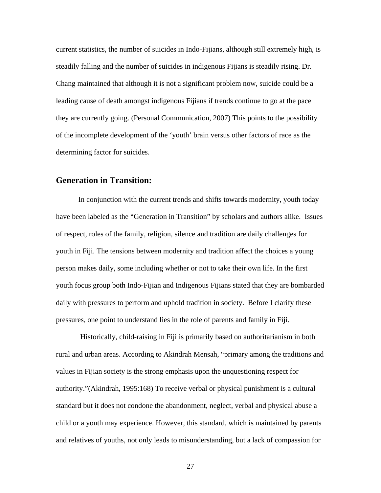current statistics, the number of suicides in Indo-Fijians, although still extremely high, is steadily falling and the number of suicides in indigenous Fijians is steadily rising. Dr. Chang maintained that although it is not a significant problem now, suicide could be a leading cause of death amongst indigenous Fijians if trends continue to go at the pace they are currently going. (Personal Communication, 2007) This points to the possibility of the incomplete development of the 'youth' brain versus other factors of race as the determining factor for suicides.

### **Generation in Transition:**

In conjunction with the current trends and shifts towards modernity, youth today have been labeled as the "Generation in Transition" by scholars and authors alike. Issues of respect, roles of the family, religion, silence and tradition are daily challenges for youth in Fiji. The tensions between modernity and tradition affect the choices a young person makes daily, some including whether or not to take their own life. In the first youth focus group both Indo-Fijian and Indigenous Fijians stated that they are bombarded daily with pressures to perform and uphold tradition in society. Before I clarify these pressures, one point to understand lies in the role of parents and family in Fiji.

 Historically, child-raising in Fiji is primarily based on authoritarianism in both rural and urban areas. According to Akindrah Mensah, "primary among the traditions and values in Fijian society is the strong emphasis upon the unquestioning respect for authority."(Akindrah, 1995:168) To receive verbal or physical punishment is a cultural standard but it does not condone the abandonment, neglect, verbal and physical abuse a child or a youth may experience. However, this standard, which is maintained by parents and relatives of youths, not only leads to misunderstanding, but a lack of compassion for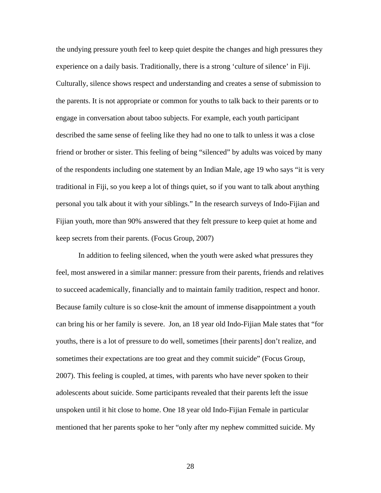the undying pressure youth feel to keep quiet despite the changes and high pressures they experience on a daily basis. Traditionally, there is a strong 'culture of silence' in Fiji. Culturally, silence shows respect and understanding and creates a sense of submission to the parents. It is not appropriate or common for youths to talk back to their parents or to engage in conversation about taboo subjects. For example, each youth participant described the same sense of feeling like they had no one to talk to unless it was a close friend or brother or sister. This feeling of being "silenced" by adults was voiced by many of the respondents including one statement by an Indian Male, age 19 who says "it is very traditional in Fiji, so you keep a lot of things quiet, so if you want to talk about anything personal you talk about it with your siblings." In the research surveys of Indo-Fijian and Fijian youth, more than 90% answered that they felt pressure to keep quiet at home and keep secrets from their parents. (Focus Group, 2007)

 In addition to feeling silenced, when the youth were asked what pressures they feel, most answered in a similar manner: pressure from their parents, friends and relatives to succeed academically, financially and to maintain family tradition, respect and honor. Because family culture is so close-knit the amount of immense disappointment a youth can bring his or her family is severe. Jon, an 18 year old Indo-Fijian Male states that "for youths, there is a lot of pressure to do well, sometimes [their parents] don't realize, and sometimes their expectations are too great and they commit suicide" (Focus Group, 2007). This feeling is coupled, at times, with parents who have never spoken to their adolescents about suicide. Some participants revealed that their parents left the issue unspoken until it hit close to home. One 18 year old Indo-Fijian Female in particular mentioned that her parents spoke to her "only after my nephew committed suicide. My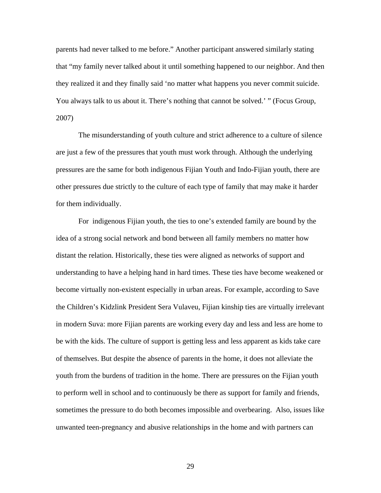parents had never talked to me before." Another participant answered similarly stating that "my family never talked about it until something happened to our neighbor. And then they realized it and they finally said 'no matter what happens you never commit suicide. You always talk to us about it. There's nothing that cannot be solved.' " (Focus Group, 2007)

 The misunderstanding of youth culture and strict adherence to a culture of silence are just a few of the pressures that youth must work through. Although the underlying pressures are the same for both indigenous Fijian Youth and Indo-Fijian youth, there are other pressures due strictly to the culture of each type of family that may make it harder for them individually.

 For indigenous Fijian youth, the ties to one's extended family are bound by the idea of a strong social network and bond between all family members no matter how distant the relation. Historically, these ties were aligned as networks of support and understanding to have a helping hand in hard times. These ties have become weakened or become virtually non-existent especially in urban areas. For example, according to Save the Children's Kidzlink President Sera Vulaveu, Fijian kinship ties are virtually irrelevant in modern Suva: more Fijian parents are working every day and less and less are home to be with the kids. The culture of support is getting less and less apparent as kids take care of themselves. But despite the absence of parents in the home, it does not alleviate the youth from the burdens of tradition in the home. There are pressures on the Fijian youth to perform well in school and to continuously be there as support for family and friends, sometimes the pressure to do both becomes impossible and overbearing. Also, issues like unwanted teen-pregnancy and abusive relationships in the home and with partners can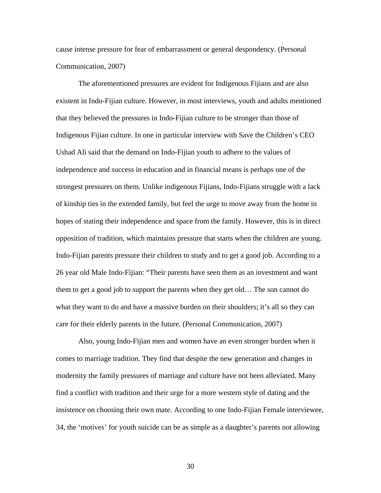cause intense pressure for fear of embarrassment or general despondency. (Personal Communication, 2007)

 The aforementioned pressures are evident for Indigenous Fijians and are also existent in Indo-Fijian culture. However, in most interviews, youth and adults mentioned that they believed the pressures in Indo-Fijian culture to be stronger than those of Indigenous Fijian culture. In one in particular interview with Save the Children's CEO Ushad Ali said that the demand on Indo-Fijian youth to adhere to the values of independence and success in education and in financial means is perhaps one of the strongest pressures on them. Unlike indigenous Fijians, Indo-Fijians struggle with a lack of kinship ties in the extended family, but feel the urge to move away from the home in hopes of stating their independence and space from the family. However, this is in direct opposition of tradition, which maintains pressure that starts when the children are young. Indo-Fijian parents pressure their children to study and to get a good job. According to a 26 year old Male Indo-Fijian: "Their parents have seen them as an investment and want them to get a good job to support the parents when they get old… The son cannot do what they want to do and have a massive burden on their shoulders; it's all so they can care for their elderly parents in the future. (Personal Communication, 2007)

Also, young Indo-Fijian men and women have an even stronger burden when it comes to marriage tradition. They find that despite the new generation and changes in modernity the family pressures of marriage and culture have not been alleviated. Many find a conflict with tradition and their urge for a more western style of dating and the insistence on choosing their own mate. According to one Indo-Fijian Female interviewee, 34, the 'motives' for youth suicide can be as simple as a daughter's parents not allowing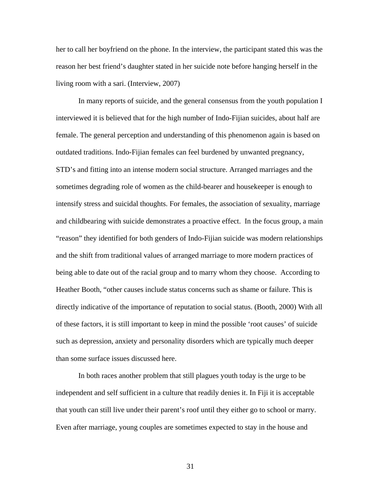her to call her boyfriend on the phone. In the interview, the participant stated this was the reason her best friend's daughter stated in her suicide note before hanging herself in the living room with a sari. (Interview, 2007)

In many reports of suicide, and the general consensus from the youth population I interviewed it is believed that for the high number of Indo-Fijian suicides, about half are female. The general perception and understanding of this phenomenon again is based on outdated traditions. Indo-Fijian females can feel burdened by unwanted pregnancy, STD's and fitting into an intense modern social structure. Arranged marriages and the sometimes degrading role of women as the child-bearer and housekeeper is enough to intensify stress and suicidal thoughts. For females, the association of sexuality, marriage and childbearing with suicide demonstrates a proactive effect. In the focus group, a main "reason" they identified for both genders of Indo-Fijian suicide was modern relationships and the shift from traditional values of arranged marriage to more modern practices of being able to date out of the racial group and to marry whom they choose. According to Heather Booth, "other causes include status concerns such as shame or failure. This is directly indicative of the importance of reputation to social status. (Booth, 2000) With all of these factors, it is still important to keep in mind the possible 'root causes' of suicide such as depression, anxiety and personality disorders which are typically much deeper than some surface issues discussed here.

 In both races another problem that still plagues youth today is the urge to be independent and self sufficient in a culture that readily denies it. In Fiji it is acceptable that youth can still live under their parent's roof until they either go to school or marry. Even after marriage, young couples are sometimes expected to stay in the house and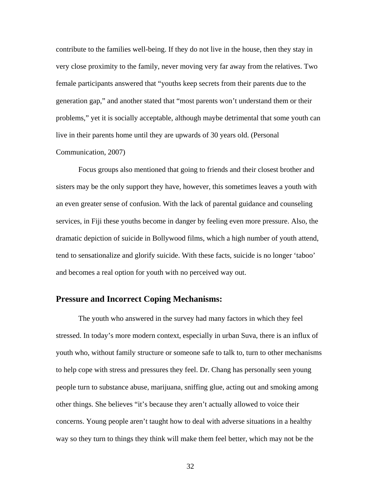contribute to the families well-being. If they do not live in the house, then they stay in very close proximity to the family, never moving very far away from the relatives. Two female participants answered that "youths keep secrets from their parents due to the generation gap," and another stated that "most parents won't understand them or their problems," yet it is socially acceptable, although maybe detrimental that some youth can live in their parents home until they are upwards of 30 years old. (Personal

### Communication, 2007)

Focus groups also mentioned that going to friends and their closest brother and sisters may be the only support they have, however, this sometimes leaves a youth with an even greater sense of confusion. With the lack of parental guidance and counseling services, in Fiji these youths become in danger by feeling even more pressure. Also, the dramatic depiction of suicide in Bollywood films, which a high number of youth attend, tend to sensationalize and glorify suicide. With these facts, suicide is no longer 'taboo' and becomes a real option for youth with no perceived way out.

# **Pressure and Incorrect Coping Mechanisms:**

 The youth who answered in the survey had many factors in which they feel stressed. In today's more modern context, especially in urban Suva, there is an influx of youth who, without family structure or someone safe to talk to, turn to other mechanisms to help cope with stress and pressures they feel. Dr. Chang has personally seen young people turn to substance abuse, marijuana, sniffing glue, acting out and smoking among other things. She believes "it's because they aren't actually allowed to voice their concerns. Young people aren't taught how to deal with adverse situations in a healthy way so they turn to things they think will make them feel better, which may not be the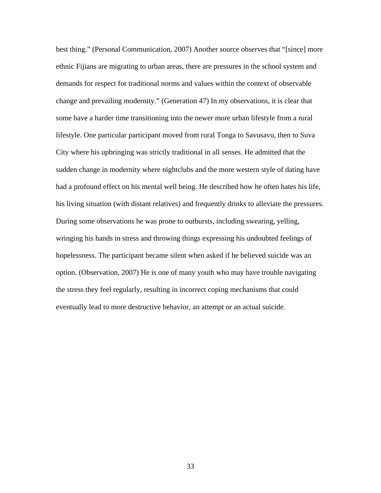best thing." (Personal Communication, 2007) Another source observes that "[since] more ethnic Fijians are migrating to urban areas, there are pressures in the school system and demands for respect for traditional norms and values within the context of observable change and prevailing modernity." (Generation 47) In my observations, it is clear that some have a harder time transitioning into the newer more urban lifestyle from a rural lifestyle. One particular participant moved from rural Tonga to Savusavu, then to Suva City where his upbringing was strictly traditional in all senses. He admitted that the sudden change in modernity where nightclubs and the more western style of dating have had a profound effect on his mental well being. He described how he often hates his life, his living situation (with distant relatives) and frequently drinks to alleviate the pressures. During some observations he was prone to outbursts, including swearing, yelling, wringing his hands in stress and throwing things expressing his undoubted feelings of hopelessness. The participant became silent when asked if he believed suicide was an option. (Observation, 2007) He is one of many youth who may have trouble navigating the stress they feel regularly, resulting in incorrect coping mechanisms that could eventually lead to more destructive behavior, an attempt or an actual suicide.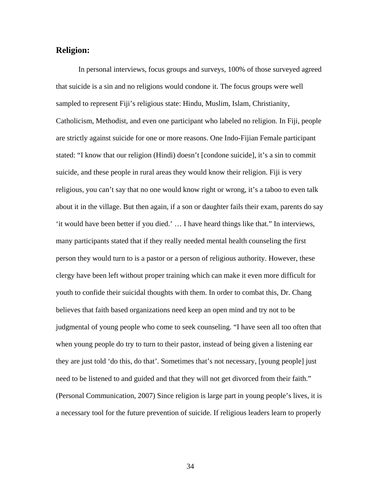### **Religion:**

 In personal interviews, focus groups and surveys, 100% of those surveyed agreed that suicide is a sin and no religions would condone it. The focus groups were well sampled to represent Fiji's religious state: Hindu, Muslim, Islam, Christianity, Catholicism, Methodist, and even one participant who labeled no religion. In Fiji, people are strictly against suicide for one or more reasons. One Indo-Fijian Female participant stated: "I know that our religion (Hindi) doesn't [condone suicide], it's a sin to commit suicide, and these people in rural areas they would know their religion. Fiji is very religious, you can't say that no one would know right or wrong, it's a taboo to even talk about it in the village. But then again, if a son or daughter fails their exam, parents do say 'it would have been better if you died.' … I have heard things like that." In interviews, many participants stated that if they really needed mental health counseling the first person they would turn to is a pastor or a person of religious authority. However, these clergy have been left without proper training which can make it even more difficult for youth to confide their suicidal thoughts with them. In order to combat this, Dr. Chang believes that faith based organizations need keep an open mind and try not to be judgmental of young people who come to seek counseling. "I have seen all too often that when young people do try to turn to their pastor, instead of being given a listening ear they are just told 'do this, do that'. Sometimes that's not necessary, [young people] just need to be listened to and guided and that they will not get divorced from their faith." (Personal Communication, 2007) Since religion is large part in young people's lives, it is a necessary tool for the future prevention of suicide. If religious leaders learn to properly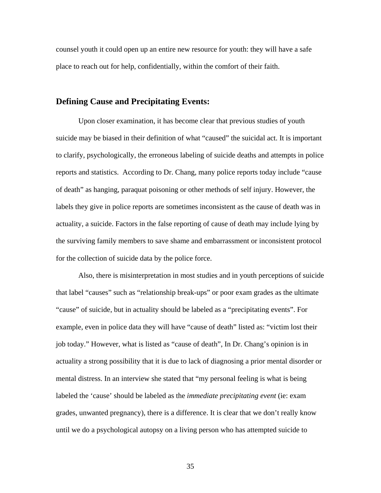counsel youth it could open up an entire new resource for youth: they will have a safe place to reach out for help, confidentially, within the comfort of their faith.

## **Defining Cause and Precipitating Events:**

 Upon closer examination, it has become clear that previous studies of youth suicide may be biased in their definition of what "caused" the suicidal act. It is important to clarify, psychologically, the erroneous labeling of suicide deaths and attempts in police reports and statistics. According to Dr. Chang, many police reports today include "cause of death" as hanging, paraquat poisoning or other methods of self injury. However, the labels they give in police reports are sometimes inconsistent as the cause of death was in actuality, a suicide. Factors in the false reporting of cause of death may include lying by the surviving family members to save shame and embarrassment or inconsistent protocol for the collection of suicide data by the police force.

 Also, there is misinterpretation in most studies and in youth perceptions of suicide that label "causes" such as "relationship break-ups" or poor exam grades as the ultimate "cause" of suicide, but in actuality should be labeled as a "precipitating events". For example, even in police data they will have "cause of death" listed as: "victim lost their job today." However, what is listed as "cause of death", In Dr. Chang's opinion is in actuality a strong possibility that it is due to lack of diagnosing a prior mental disorder or mental distress. In an interview she stated that "my personal feeling is what is being labeled the 'cause' should be labeled as the *immediate precipitating event* (ie: exam grades, unwanted pregnancy), there is a difference. It is clear that we don't really know until we do a psychological autopsy on a living person who has attempted suicide to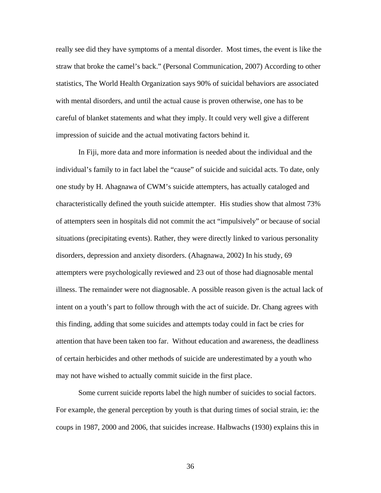really see did they have symptoms of a mental disorder. Most times, the event is like the straw that broke the camel's back." (Personal Communication, 2007) According to other statistics, The World Health Organization says 90% of suicidal behaviors are associated with mental disorders, and until the actual cause is proven otherwise, one has to be careful of blanket statements and what they imply. It could very well give a different impression of suicide and the actual motivating factors behind it.

 In Fiji, more data and more information is needed about the individual and the individual's family to in fact label the "cause" of suicide and suicidal acts. To date, only one study by H. Ahagnawa of CWM's suicide attempters, has actually cataloged and characteristically defined the youth suicide attempter. His studies show that almost 73% of attempters seen in hospitals did not commit the act "impulsively" or because of social situations (precipitating events). Rather, they were directly linked to various personality disorders, depression and anxiety disorders. (Ahagnawa, 2002) In his study, 69 attempters were psychologically reviewed and 23 out of those had diagnosable mental illness. The remainder were not diagnosable. A possible reason given is the actual lack of intent on a youth's part to follow through with the act of suicide. Dr. Chang agrees with this finding, adding that some suicides and attempts today could in fact be cries for attention that have been taken too far. Without education and awareness, the deadliness of certain herbicides and other methods of suicide are underestimated by a youth who may not have wished to actually commit suicide in the first place.

 Some current suicide reports label the high number of suicides to social factors. For example, the general perception by youth is that during times of social strain, ie: the coups in 1987, 2000 and 2006, that suicides increase. Halbwachs (1930) explains this in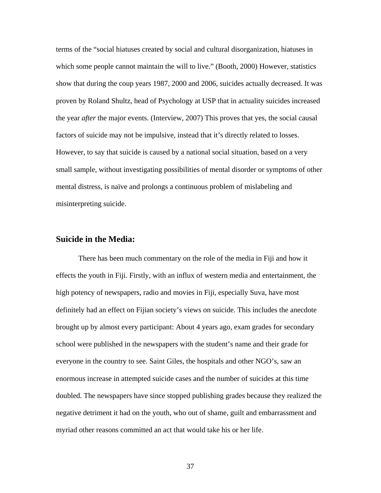terms of the "social hiatuses created by social and cultural disorganization, hiatuses in which some people cannot maintain the will to live." (Booth, 2000) However, statistics show that during the coup years 1987, 2000 and 2006, suicides actually decreased. It was proven by Roland Shultz, head of Psychology at USP that in actuality suicides increased the year *after* the major events. (Interview, 2007) This proves that yes, the social causal factors of suicide may not be impulsive, instead that it's directly related to losses. However, to say that suicide is caused by a national social situation, based on a very small sample, without investigating possibilities of mental disorder or symptoms of other mental distress, is naïve and prolongs a continuous problem of mislabeling and misinterpreting suicide.

### **Suicide in the Media:**

 There has been much commentary on the role of the media in Fiji and how it effects the youth in Fiji. Firstly, with an influx of western media and entertainment, the high potency of newspapers, radio and movies in Fiji, especially Suva, have most definitely had an effect on Fijian society's views on suicide. This includes the anecdote brought up by almost every participant: About 4 years ago, exam grades for secondary school were published in the newspapers with the student's name and their grade for everyone in the country to see. Saint Giles, the hospitals and other NGO's, saw an enormous increase in attempted suicide cases and the number of suicides at this time doubled. The newspapers have since stopped publishing grades because they realized the negative detriment it had on the youth, who out of shame, guilt and embarrassment and myriad other reasons committed an act that would take his or her life.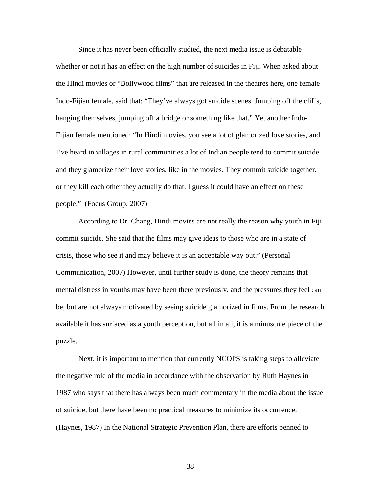Since it has never been officially studied, the next media issue is debatable whether or not it has an effect on the high number of suicides in Fiji. When asked about the Hindi movies or "Bollywood films" that are released in the theatres here, one female Indo-Fijian female, said that: "They've always got suicide scenes. Jumping off the cliffs, hanging themselves, jumping off a bridge or something like that." Yet another Indo-Fijian female mentioned: "In Hindi movies, you see a lot of glamorized love stories, and I've heard in villages in rural communities a lot of Indian people tend to commit suicide and they glamorize their love stories, like in the movies. They commit suicide together, or they kill each other they actually do that. I guess it could have an effect on these people." (Focus Group, 2007)

 According to Dr. Chang, Hindi movies are not really the reason why youth in Fiji commit suicide. She said that the films may give ideas to those who are in a state of crisis, those who see it and may believe it is an acceptable way out." (Personal Communication, 2007) However, until further study is done, the theory remains that mental distress in youths may have been there previously, and the pressures they feel can be, but are not always motivated by seeing suicide glamorized in films. From the research available it has surfaced as a youth perception, but all in all, it is a minuscule piece of the puzzle.

 Next, it is important to mention that currently NCOPS is taking steps to alleviate the negative role of the media in accordance with the observation by Ruth Haynes in 1987 who says that there has always been much commentary in the media about the issue of suicide, but there have been no practical measures to minimize its occurrence. (Haynes, 1987) In the National Strategic Prevention Plan, there are efforts penned to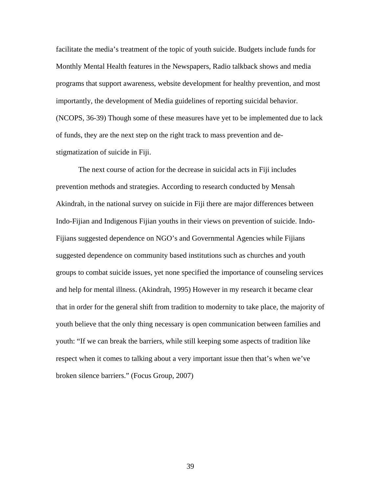facilitate the media's treatment of the topic of youth suicide. Budgets include funds for Monthly Mental Health features in the Newspapers, Radio talkback shows and media programs that support awareness, website development for healthy prevention, and most importantly, the development of Media guidelines of reporting suicidal behavior. (NCOPS, 36-39) Though some of these measures have yet to be implemented due to lack of funds, they are the next step on the right track to mass prevention and destigmatization of suicide in Fiji.

 The next course of action for the decrease in suicidal acts in Fiji includes prevention methods and strategies. According to research conducted by Mensah Akindrah, in the national survey on suicide in Fiji there are major differences between Indo-Fijian and Indigenous Fijian youths in their views on prevention of suicide. Indo-Fijians suggested dependence on NGO's and Governmental Agencies while Fijians suggested dependence on community based institutions such as churches and youth groups to combat suicide issues, yet none specified the importance of counseling services and help for mental illness. (Akindrah, 1995) However in my research it became clear that in order for the general shift from tradition to modernity to take place, the majority of youth believe that the only thing necessary is open communication between families and youth: "If we can break the barriers, while still keeping some aspects of tradition like respect when it comes to talking about a very important issue then that's when we've broken silence barriers." (Focus Group, 2007)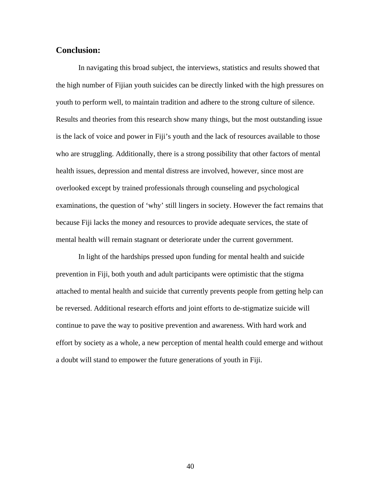# **Conclusion:**

 In navigating this broad subject, the interviews, statistics and results showed that the high number of Fijian youth suicides can be directly linked with the high pressures on youth to perform well, to maintain tradition and adhere to the strong culture of silence. Results and theories from this research show many things, but the most outstanding issue is the lack of voice and power in Fiji's youth and the lack of resources available to those who are struggling. Additionally, there is a strong possibility that other factors of mental health issues, depression and mental distress are involved, however, since most are overlooked except by trained professionals through counseling and psychological examinations, the question of 'why' still lingers in society. However the fact remains that because Fiji lacks the money and resources to provide adequate services, the state of mental health will remain stagnant or deteriorate under the current government.

 In light of the hardships pressed upon funding for mental health and suicide prevention in Fiji, both youth and adult participants were optimistic that the stigma attached to mental health and suicide that currently prevents people from getting help can be reversed. Additional research efforts and joint efforts to de-stigmatize suicide will continue to pave the way to positive prevention and awareness. With hard work and effort by society as a whole, a new perception of mental health could emerge and without a doubt will stand to empower the future generations of youth in Fiji.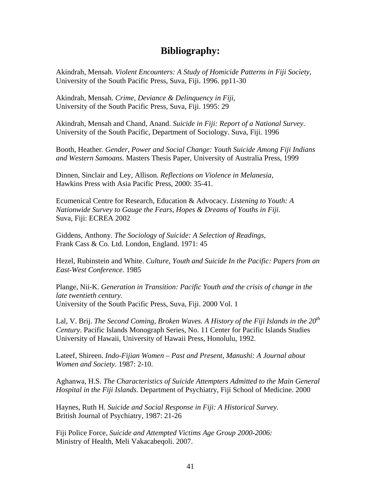# **Bibliography:**

Akindrah, Mensah. *Violent Encounters: A Study of Homicide Patterns in Fiji Society,* University of the South Pacific Press, Suva, Fiji. 1996. pp11-30

Akindrah, Mensah. *Crime, Deviance & Delinquency in Fiji,* University of the South Pacific Press, Suva, Fiji. 1995: 29

Akindrah, Mensah and Chand, Anand. *Suicide in Fiji: Report of a National Survey*. University of the South Pacific, Department of Sociology. Suva, Fiji. 1996

Booth, Heather*. Gender, Power and Social Change: Youth Suicide Among Fiji Indians and Western Samoans.* Masters Thesis Paper, University of Australia Press, 1999

Dinnen, Sinclair and Ley, Allison. *Reflections on Violence in Melanesia,*  Hawkins Press with Asia Pacific Press, 2000: 35-41.

Ecumenical Centre for Research, Education & Advocacy*. Listening to Youth: A Nationwide Survey to Gauge the Fears, Hopes & Dreams of Youths in Fiji.*  Suva, Fiji: ECREA 2002

Giddens, Anthony. *The Sociology of Suicide: A Selection of Readings*, Frank Cass & Co. Ltd. London, England. 1971: 45

Hezel, Rubinstein and White. *Culture, Youth and Suicide In the Pacific: Papers from an East-West Conference.* 1985

Plange, Nii-K. *Generation in Transition: Pacific Youth and the crisis of change in the late twentieth century.*  University of the South Pacific Press, Suva, Fiji. 2000 Vol. 1

Lal, V. Brij. *The Second Coming, Broken Waves. A History of the Fiji Islands in the 20th Century.* Pacific Islands Monograph Series, No. 11 Center for Pacific Islands Studies University of Hawaii, University of Hawaii Press, Honolulu, 1992.

Lateef, Shireen. *Indo-Fijian Women – Past and Present, Manushi: A Journal about Women and Society.* 1987: 2-10.

Aghanwa, H.S. *The Characteristics of Suicide Attempters Admitted to the Main General Hospital in the Fiji Islands*. Department of Psychiatry, Fiji School of Medicine. 2000

Haynes, Ruth H*. Suicide and Social Response in Fiji: A Historical Survey.*  British Journal of Psychiatry, 1987: 21-26

Fiji Police Force, *Suicide and Attempted Victims Age Group 2000-2006:*  Ministry of Health, Meli Vakacabeqoli. 2007.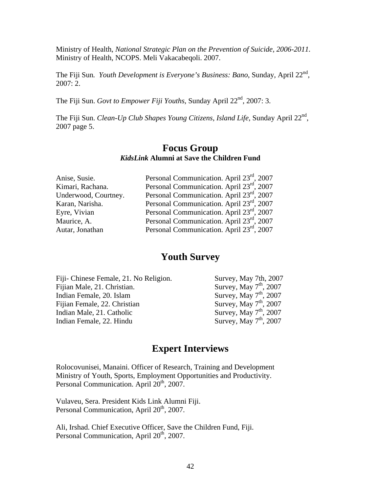Ministry of Health, *National Strategic Plan on the Prevention of Suicide, 2006-2011.* Ministry of Health, NCOPS. Meli Vakacabeqoli. 2007.

The Fiji Sun. *Youth Development is Everyone's Business: Bano*, Sunday, April 22<sup>nd</sup>, 2007: 2.

The Fiji Sun. *Govt to Empower Fiji Youths*, Sunday April 22nd, 2007: 3.

The Fiji Sun. *Clean-Up Club Shapes Young Citizens, Island Life,* Sunday April 22nd, 2007 page 5.

# **Focus Group**  *KidsLink* **Alumni at Save the Children Fund**

| Anise, Susie.        | Personal Communication. April 23 <sup>rd</sup> , 2007 |
|----------------------|-------------------------------------------------------|
| Kimari, Rachana.     | Personal Communication. April 23rd, 2007              |
| Underwood, Courtney. | Personal Communication. April 23 <sup>rd</sup> , 2007 |
| Karan, Narisha.      | Personal Communication. April 23 <sup>rd</sup> , 2007 |
| Eyre, Vivian         | Personal Communication. April 23rd, 2007              |
| Maurice, A.          | Personal Communication. April 23rd, 2007              |
| Autar, Jonathan      | Personal Communication. April 23rd, 2007              |

# **Youth Survey**

| Survey, May 7th, 2007    |
|--------------------------|
| Survey, May $7th$ , 2007 |
| Survey, May $7th$ , 2007 |
| Survey, May $7th$ , 2007 |
| Survey, May $7th$ , 2007 |
| Survey, May $7th$ , 2007 |
|                          |

# **Expert Interviews**

Rolocovunisei, Manaini. Officer of Research, Training and Development Ministry of Youth, Sports, Employment Opportunities and Productivity. Personal Communication. April 20<sup>th</sup>, 2007.

Vulaveu, Sera. President Kids Link Alumni Fiji. Personal Communication, April 20<sup>th</sup>, 2007.

Ali, Irshad. Chief Executive Officer, Save the Children Fund, Fiji. Personal Communication, April 20<sup>th</sup>, 2007.